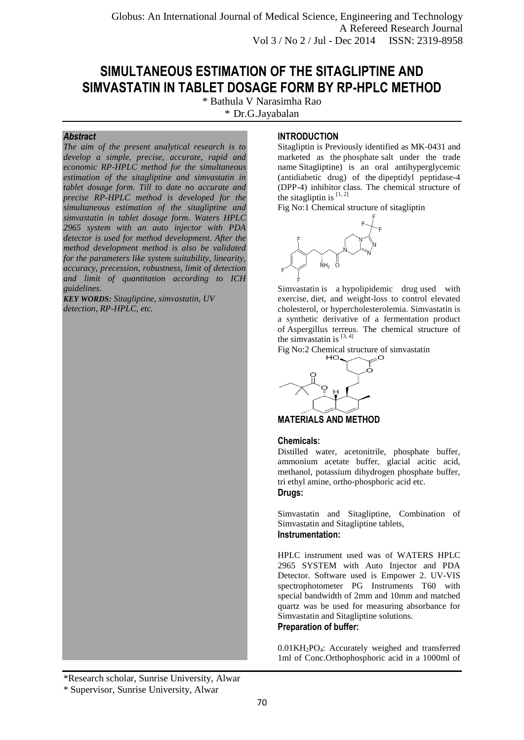Globus: An International Journal of Medical Science, Engineering and Technology A Refereed Research Journal Vol 3 / No 2 / Jul - Dec 2014 ISSN: 2319-8958

# **SIMULTANEOUS ESTIMATION OF THE SITAGLIPTINE AND SIMVASTATIN IN TABLET DOSAGE FORM BY RP-HPLC METHOD**

\* Bathula V Narasimha Rao

\* Dr.G.Jayabalan

## *Abstract*

*The aim of the present analytical research is to develop a simple, precise, accurate, rapid and economic RP-HPLC method for the simultaneous estimation of the sitagliptine and simvastatin in tablet dosage form. Till to date no accurate and precise RP-HPLC method is developed for the simultaneous estimation of the sitagliptine and simvastatin in tablet dosage form. Waters HPLC 2965 system with an auto injector with PDA detector is used for method development. After the method development method is also be validated for the parameters like system suitability, linearity, accuracy, precession, robustness, limit of detection and limit of quantitation according to ICH guidelines.* 

*KEY WORDS: Sitagliptine, simvastatin, UV detection, RP-HPLC, etc.*

#### the sitagliptin is  $[1, 2]$ Fig No:1 Chemical structure of sitagliptin



**INTRODUCTION**

Simvastatin is a [hypolipidemic drug](http://en.wikipedia.org/wiki/Hypolipidemic_agent) used with exercise, diet, and weight-loss to control elevated cholesterol, or [hypercholesterolemia.](http://en.wikipedia.org/wiki/Hypercholesterolemia) Simvastatin is a synthetic derivative of a fermentation product of [Aspergillus terreus.](http://en.wikipedia.org/wiki/Aspergillus_terreus) The chemical structure of the simvastatin is  $[3, 4]$ 

Sitagliptin is Previously identified as MK-0431 and marketed as the [phosphate](http://en.wikipedia.org/wiki/Phosphate) salt under the trade name Sitagliptine) is an oral antihyperglycemic [\(antidiabetic drug\)](http://en.wikipedia.org/wiki/Antidiabetic_drug) of the [dipeptidyl peptidase-4](http://en.wikipedia.org/wiki/DPP-4_inhibitors)  [\(DPP-4\) inhibitor](http://en.wikipedia.org/wiki/DPP-4_inhibitors) class. The chemical structure of



**MATERIALS AND METHOD**

#### **Chemicals:**

Distilled water, acetonitrile, phosphate buffer, ammonium acetate buffer, glacial acitic acid, methanol, potassium dihydrogen phosphate buffer, tri ethyl amine, ortho-phosphoric acid etc. **Drugs:**

Simvastatin and Sitagliptine, Combination of Simvastatin and Sitagliptine tablets, **Instrumentation:**

HPLC instrument used was of WATERS HPLC 2965 SYSTEM with Auto Injector and PDA Detector. Software used is Empower 2. UV-VIS spectrophotometer PG Instruments T60 with special bandwidth of 2mm and 10mm and matched quartz was be used for measuring absorbance for Simvastatin and Sitagliptine solutions. **Preparation of buffer:**

0.01KH2PO4: Accurately weighed and transferred 1ml of Conc.Orthophosphoric acid in a 1000ml of

<sup>\*</sup>Research scholar, Sunrise University, Alwar

<sup>\*</sup> Supervisor, Sunrise University, Alwar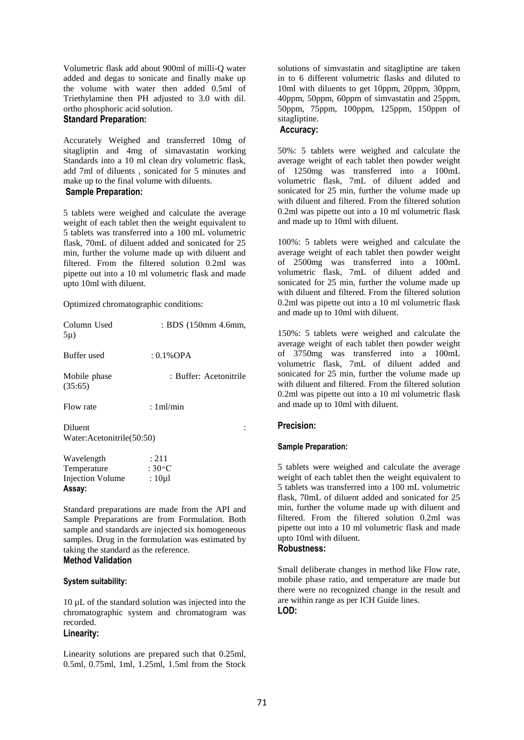Volumetric flask add about 900ml of milli-Q water added and degas to sonicate and finally make up the volume with water then added 0.5ml of Triethylamine then PH adjusted to 3.0 with dil. ortho phosphoric acid solution.

## **Standard Preparation:**

Accurately Weighed and transferred 10mg of sitagliptin and 4mg of simavastatin working Standards into a 10 ml clean dry volumetric flask, add 7ml of diluents , sonicated for 5 minutes and make up to the final volume with diluents.

## **Sample Preparation:**

5 tablets were weighed and calculate the average weight of each tablet then the weight equivalent to 5 tablets was transferred into a 100 mL volumetric flask, 70mL of diluent added and sonicated for 25 min, further the volume made up with diluent and filtered. From the filtered solution 0.2ml was pipette out into a 10 ml volumetric flask and made upto 10ml with diluent.

Optimized chromatographic conditions:

| Column Used<br>$5\mu$ )                | : BDS (150mm 4.6mm,    |
|----------------------------------------|------------------------|
| Buffer used                            | : $0.1\%$ OPA          |
| Mobile phase<br>(35:65)                | : Buffer: Acetonitrile |
| Flow rate                              | :1ml/min               |
| Diluent<br>Water: Acetonitrile (50:50) |                        |
| Wavelength<br>Temperature              | : 211<br>: 30°C        |

Injection Volume : 10µ1 **Assay:**

Standard preparations are made from the API and Sample Preparations are from Formulation. Both sample and standards are injected six homogeneous samples. Drug in the formulation was estimated by taking the standard as the reference. **Method Validation**

#### **System suitability:**

10 µL of the standard solution was injected into the chromatographic system and chromatogram was recorded.

## **Linearity:**

Linearity solutions are prepared such that 0.25ml, 0.5ml, 0.75ml, 1ml, 1.25ml, 1.5ml from the Stock

solutions of simvastatin and sitagliptine are taken in to 6 different volumetric flasks and diluted to 10ml with diluents to get 10ppm, 20ppm, 30ppm, 40ppm, 50ppm, 60ppm of simvastatin and 25ppm, 50ppm, 75ppm, 100ppm, 125ppm, 150ppm of sitagliptine.

## **Accuracy:**

50%: 5 tablets were weighed and calculate the average weight of each tablet then powder weight of 1250mg was transferred into a 100mL volumetric flask, 7mL of diluent added and sonicated for 25 min, further the volume made up with diluent and filtered. From the filtered solution 0.2ml was pipette out into a 10 ml volumetric flask and made up to 10ml with diluent.

100%: 5 tablets were weighed and calculate the average weight of each tablet then powder weight of 2500mg was transferred into a 100mL volumetric flask, 7mL of diluent added and sonicated for 25 min, further the volume made up with diluent and filtered. From the filtered solution 0.2ml was pipette out into a 10 ml volumetric flask and made up to 10ml with diluent.

150%: 5 tablets were weighed and calculate the average weight of each tablet then powder weight of 3750mg was transferred into a 100mL volumetric flask, 7mL of diluent added and sonicated for 25 min, further the volume made up with diluent and filtered. From the filtered solution 0.2ml was pipette out into a 10 ml volumetric flask and made up to 10ml with diluent.

## **Precision:**

#### **Sample Preparation:**

5 tablets were weighed and calculate the average weight of each tablet then the weight equivalent to 5 tablets was transferred into a 100 mL volumetric flask, 70mL of diluent added and sonicated for 25 min, further the volume made up with diluent and filtered. From the filtered solution 0.2ml was pipette out into a 10 ml volumetric flask and made upto 10ml with diluent.

## **Robustness:**

Small deliberate changes in method like Flow rate, mobile phase ratio, and temperature are made but there were no recognized change in the result and are within range as per ICH Guide lines. **LOD:**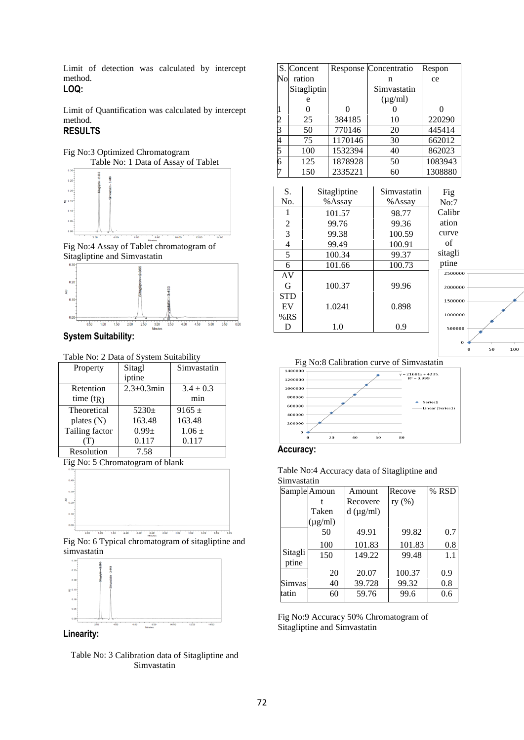Limit of detection was calculated by intercept method.

## **LOQ:**

Limit of Quantification was calculated by intercept method.

## **RESULTS**



Fig No:4 Assay of Tablet chromatogram of Sitagliptine and Simvastatin



**System Suitability:**

Table No: 2 Data of System Suitability

| Property       | Sitagl            | Simvastatin   |  |
|----------------|-------------------|---------------|--|
|                | iptine            |               |  |
| Retention      | $2.3 \pm 0.3$ min | $3.4 \pm 0.3$ |  |
| time $(tR)$    |                   | min           |  |
| Theoretical    | $5230 \pm$        | $9165 +$      |  |
| plates (N)     | 163.48            | 163.48        |  |
| Tailing factor | $0.99 +$          | $1.06 \pm$    |  |
|                | 0.117             | 0.117         |  |
| Resolution     | 7.58              |               |  |

Fig No: 5 Chromatogram of blank



Fig No: 6 Typical chromatogram of sitagliptine and simvastatin



**Linearity:**



|                |               | S. Concent       |              | Response Concentratio | Respon  |          |         |
|----------------|---------------|------------------|--------------|-----------------------|---------|----------|---------|
| $\rm No$       |               | ration           |              | n                     | ce      |          |         |
|                |               | Sitagliptin      |              | Simvastatin           |         |          |         |
|                |               | e                |              | $(\mu g/ml)$          |         |          |         |
| 1              |               | $\boldsymbol{0}$ | 0            | 0                     |         | $\theta$ |         |
| $\overline{c}$ |               | 25               | 384185       | 10                    |         | 220290   |         |
| $\overline{3}$ |               | 50               | 770146       | 20                    |         | 445414   |         |
| 4              |               | 75               | 1170146      | 30                    |         | 662012   |         |
| 5              |               | 100              | 1532394      | 40                    |         | 862023   |         |
| 6              |               | 125              | 1878928      | 50                    |         | 1083943  |         |
| 7              |               | 150              | 2335221      | 60                    |         | 1308880  |         |
|                |               |                  |              |                       |         |          |         |
| S.             |               |                  | Sitagliptine | Simvastatin           |         | Fig      |         |
| No.            |               |                  | %Assay       | %Assay                |         | No:7     |         |
|                | 1             |                  | 101.57       | 98.77                 |         | Calibr   |         |
|                | $\frac{2}{3}$ |                  | 99.76        | 99.36                 |         | ation    |         |
|                |               |                  | 99.38        | 100.59                |         | curve    |         |
| $\overline{4}$ |               |                  | 99.49        | 100.91                |         | of       |         |
|                | 5             |                  | 100.34       | 99.37                 | sitagli |          |         |
|                | $\sqrt{6}$    |                  | 101.66       | 100.73                |         | ptine    |         |
| AV             |               |                  |              |                       |         | 2500000  |         |
| G              |               | 100.37           |              | 99.96                 | 2000000 |          |         |
| <b>STD</b>     |               |                  |              |                       |         | 1500000  |         |
| EV             | 1.0241        |                  |              | 0.898                 |         |          |         |
| %RS            |               |                  |              |                       |         | 1000000  |         |
|                | D<br>1.0      |                  |              | 0.9                   |         | 500000   |         |
|                |               |                  |              |                       |         |          |         |
|                |               |                  |              |                       |         | $\bf{0}$ | 50<br>0 |

Fig No:8 Calibration curve of Simvastatin

100





|             |  |  | Table No:4 Accuracy data of Sitagliptine and |  |
|-------------|--|--|----------------------------------------------|--|
| Simvastatin |  |  |                                              |  |
|             |  |  |                                              |  |

|         | Sample Amoun | Amount            | Recove | % RSD |
|---------|--------------|-------------------|--------|-------|
|         |              | Recovere          | ry (%) |       |
|         | Taken        | $d$ ( $\mu$ g/ml) |        |       |
|         | $(\mu g/ml)$ |                   |        |       |
|         | 50           | 49.91             | 99.82  | 0.7   |
|         | 100          | 101.83            | 101.83 | 0.8   |
| Sitagli | 150          | 149.22            | 99.48  | 1.1   |
| ptine   |              |                   |        |       |
|         | 20           | 20.07             | 100.37 | 0.9   |
| Simvas  | 40           | 39.728            | 99.32  | 0.8   |
| tatin   | 60           | 59.76             | 99.6   | 0.6   |

Fig No:9 Accuracy 50% Chromatogram of Sitagliptine and Simvastatin